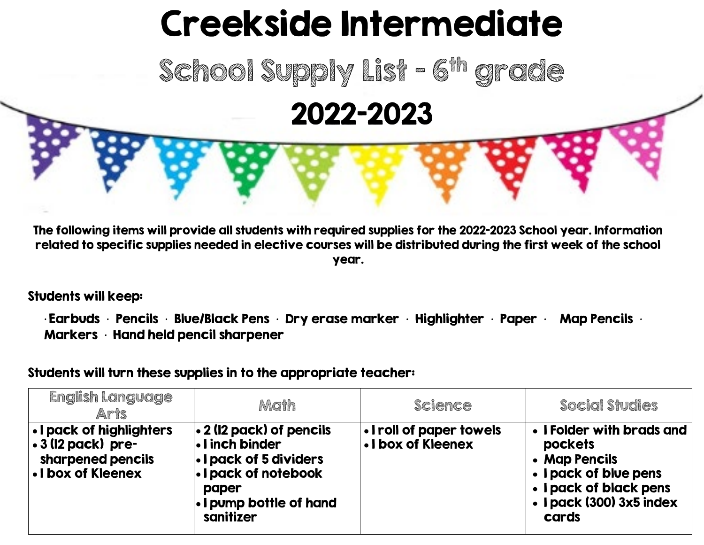## Creekside Intermediate

School Supply List - 6<sup>th</sup> grade 2022-2023

The following items will provide all students with required supplies for the 2022-2023 School year. Information related to specific supplies needed in elective courses will be distributed during the first week of the school year.

Students will keep:

 $\cdot$  Earbuds  $\cdot$  Pencils  $\cdot$  Blue/Black Pens  $\cdot$  Dry erase marker  $\cdot$  Highlighter  $\cdot$  Paper  $\cdot$  Map Pencils  $\cdot$ Markers • Hand held pencil sharpener

Students will turn these supplies in to the appropriate teacher:

| <b>English Language</b><br>Arts                                                          | Math                                                                                                                                                           | Science                                        | Social Studies                                                                                                                                |
|------------------------------------------------------------------------------------------|----------------------------------------------------------------------------------------------------------------------------------------------------------------|------------------------------------------------|-----------------------------------------------------------------------------------------------------------------------------------------------|
| • I pack of highlighters<br>.3 (12 pack) pre-<br>sharpened pencils<br>. I box of Kleenex | $\bullet$ 2 (12 pack) of pencils<br>I. I inch binder<br><b>. I pack of 5 dividers</b><br>. I pack of notebook<br>paper<br>. I pump bottle of hand<br>sanitizer | . I roll of paper towels<br>. I box of Kleenex | • I Folder with brads and<br>pockets<br>• Map Pencils<br>• I pack of blue pens<br>• I pack of black pens<br>• I pack (300) 3x5 index<br>cards |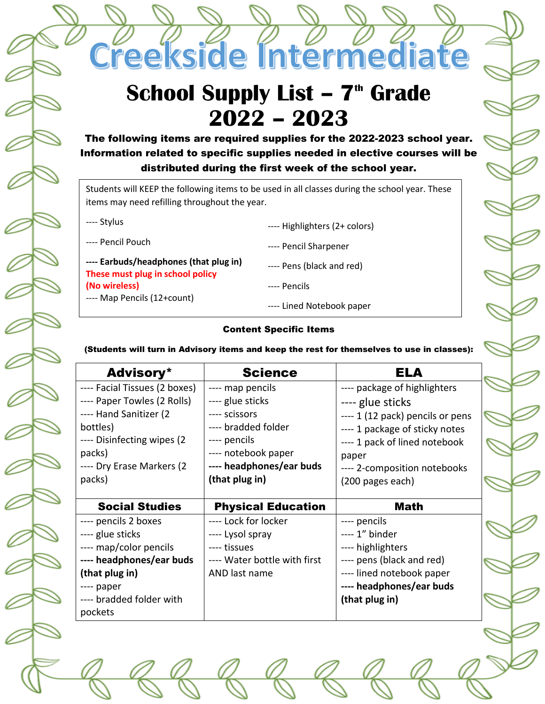**School Supply List - 7<sup>th</sup> Grade 2022 – 2023**

Creekside Intermediate

The following items are required supplies for the 2022-2023 school year. Information related to specific supplies needed in elective courses will be distributed during the first week of the school year.

Students will KEEP the following items to be used in all classes during the school year. These items may need refilling throughout the year.

---- Stylus

---- Pencil Pouch

**---- Earbuds/headphones (that plug in) These must plug in school policy (No wireless)** ---- Map Pencils (12+count)

---- Pencil Sharpener

---- Highlighters (2+ colors)

- ---- Pens (black and red)
- ---- Pencils
- ---- Lined Notebook paper

## Content Specific Items

(Students will turn in Advisory items and keep the rest for themselves to use in classes):

| <b>Advisory*</b>                                                                                                                                                                   | <b>Science</b>                                                                                                                                                    | <b>ELA</b>                                                                                                                                                                                                           |
|------------------------------------------------------------------------------------------------------------------------------------------------------------------------------------|-------------------------------------------------------------------------------------------------------------------------------------------------------------------|----------------------------------------------------------------------------------------------------------------------------------------------------------------------------------------------------------------------|
| ---- Facial Tissues (2 boxes)<br>---- Paper Towles (2 Rolls)<br>---- Hand Sanitizer (2<br>bottles)<br>---- Disinfecting wipes (2)<br>packs)<br>---- Dry Erase Markers (2<br>packs) | ---- map pencils<br>---- glue sticks<br>---- scissors<br>---- bradded folder<br>---- pencils<br>---- notebook paper<br>---- headphones/ear buds<br>(that plug in) | ---- package of highlighters<br>---- glue sticks<br>---- 1 (12 pack) pencils or pens<br>---- 1 package of sticky notes<br>---- 1 pack of lined notebook<br>paper<br>---- 2-composition notebooks<br>(200 pages each) |
|                                                                                                                                                                                    |                                                                                                                                                                   |                                                                                                                                                                                                                      |
| <b>Social Studies</b>                                                                                                                                                              |                                                                                                                                                                   | Math                                                                                                                                                                                                                 |
| ---- pencils 2 boxes<br>---- glue sticks<br>---- map/color pencils<br>---- headphones/ear buds<br>(that plug in)<br>---- paper<br>---- bradded folder with                         | <b>Physical Education</b><br>---- Lock for locker<br>---- Lysol spray<br>---- tissues<br>---- Water bottle with first<br>AND last name                            | ---- pencils<br>---- 1" binder<br>---- highlighters<br>---- pens (black and red)<br>---- lined notebook paper<br>---- headphones/ear buds<br>(that plug in)                                                          |